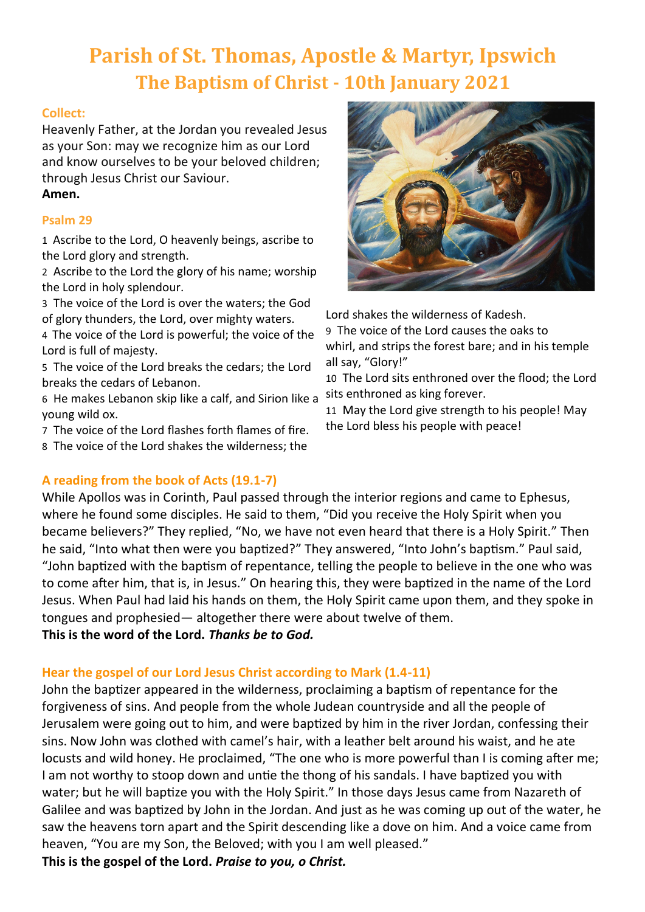# **Parish of St. Thomas, Apostle & Martyr, Ipswich The Baptism of Christ - 10th January 2021**

#### **Collect:**

Heavenly Father, at the Jordan you revealed Jesus as your Son: may we recognize him as our Lord and know ourselves to be your beloved children; through Jesus Christ our Saviour. **Amen.**

#### **Psalm 29**

1 Ascribe to the Lord, O heavenly beings, ascribe to the Lord glory and strength.

2 Ascribe to the Lord the glory of his name; worship the Lord in holy splendour.

3 The voice of the Lord is over the waters; the God of glory thunders, the Lord, over mighty waters.

4 The voice of the Lord is powerful; the voice of the Lord is full of majesty.

5 The voice of the Lord breaks the cedars; the Lord breaks the cedars of Lebanon.

6 He makes Lebanon skip like a calf, and Sirion like a young wild ox.

7 The voice of the Lord flashes forth flames of fire.

8 The voice of the Lord shakes the wilderness; the

# **A reading from the book of Acts (19.1-7)**



Lord shakes the wilderness of Kadesh.

9 The voice of the Lord causes the oaks to whirl, and strips the forest bare; and in his temple all say, "Glory!"

10 The Lord sits enthroned over the flood; the Lord sits enthroned as king forever.

11 May the Lord give strength to his people! May the Lord bless his people with peace!

While Apollos was in Corinth, Paul passed through the interior regions and came to Ephesus, where he found some disciples. He said to them, "Did you receive the Holy Spirit when you became believers?" They replied, "No, we have not even heard that there is a Holy Spirit." Then he said, "Into what then were you baptized?" They answered, "Into John's baptism." Paul said, "John baptized with the baptism of repentance, telling the people to believe in the one who was to come after him, that is, in Jesus." On hearing this, they were baptized in the name of the Lord Jesus. When Paul had laid his hands on them, the Holy Spirit came upon them, and they spoke in tongues and prophesied— altogether there were about twelve of them.

**This is the word of the Lord.** *Thanks be to God.*

# **Hear the gospel of our Lord Jesus Christ according to Mark (1.4-11)**

John the baptizer appeared in the wilderness, proclaiming a baptism of repentance for the forgiveness of sins. And people from the whole Judean countryside and all the people of Jerusalem were going out to him, and were baptized by him in the river Jordan, confessing their sins. Now John was clothed with camel's hair, with a leather belt around his waist, and he ate locusts and wild honey. He proclaimed, "The one who is more powerful than I is coming after me; I am not worthy to stoop down and untie the thong of his sandals. I have baptized you with water; but he will baptize you with the Holy Spirit." In those days Jesus came from Nazareth of Galilee and was baptized by John in the Jordan. And just as he was coming up out of the water, he saw the heavens torn apart and the Spirit descending like a dove on him. And a voice came from heaven, "You are my Son, the Beloved; with you I am well pleased."

**This is the gospel of the Lord.** *Praise to you, o Christ.*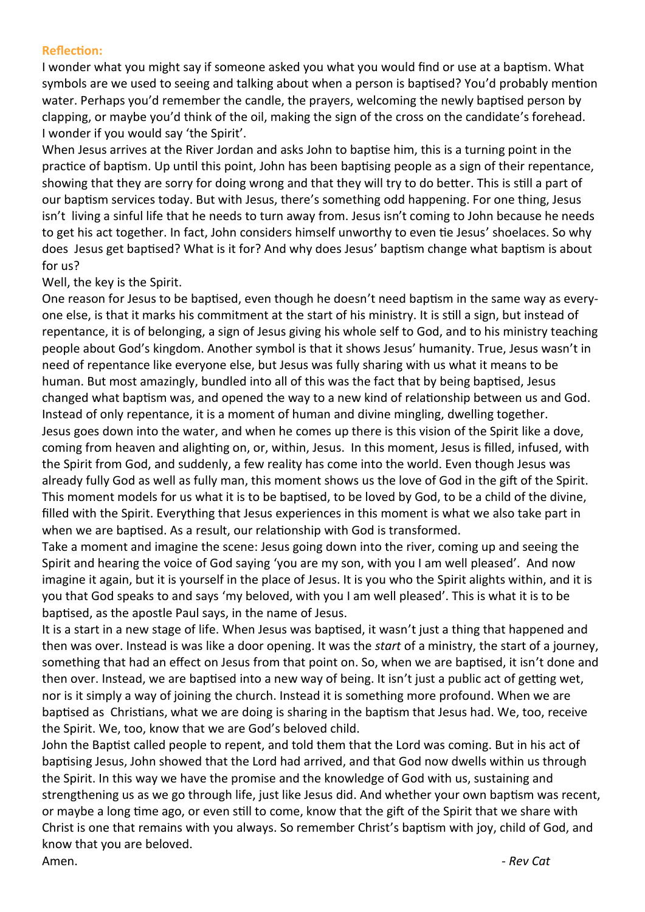#### **Reflection:**

I wonder what you might say if someone asked you what you would find or use at a baptism. What symbols are we used to seeing and talking about when a person is baptised? You'd probably mention water. Perhaps you'd remember the candle, the prayers, welcoming the newly baptised person by clapping, or maybe you'd think of the oil, making the sign of the cross on the candidate's forehead. I wonder if you would say 'the Spirit'.

When Jesus arrives at the River Jordan and asks John to baptise him, this is a turning point in the practice of baptism. Up until this point, John has been baptising people as a sign of their repentance, showing that they are sorry for doing wrong and that they will try to do better. This is still a part of our baptism services today. But with Jesus, there's something odd happening. For one thing, Jesus isn't living a sinful life that he needs to turn away from. Jesus isn't coming to John because he needs to get his act together. In fact, John considers himself unworthy to even tie Jesus' shoelaces. So why does Jesus get baptised? What is it for? And why does Jesus' baptism change what baptism is about for us?

#### Well, the key is the Spirit.

One reason for Jesus to be baptised, even though he doesn't need baptism in the same way as everyone else, is that it marks his commitment at the start of his ministry. It is still a sign, but instead of repentance, it is of belonging, a sign of Jesus giving his whole self to God, and to his ministry teaching people about God's kingdom. Another symbol is that it shows Jesus' humanity. True, Jesus wasn't in need of repentance like everyone else, but Jesus was fully sharing with us what it means to be human. But most amazingly, bundled into all of this was the fact that by being baptised, Jesus changed what baptism was, and opened the way to a new kind of relationship between us and God. Instead of only repentance, it is a moment of human and divine mingling, dwelling together. Jesus goes down into the water, and when he comes up there is this vision of the Spirit like a dove, coming from heaven and alighting on, or, within, Jesus. In this moment, Jesus is filled, infused, with the Spirit from God, and suddenly, a few reality has come into the world. Even though Jesus was already fully God as well as fully man, this moment shows us the love of God in the gift of the Spirit. This moment models for us what it is to be baptised, to be loved by God, to be a child of the divine, filled with the Spirit. Everything that Jesus experiences in this moment is what we also take part in when we are baptised. As a result, our relationship with God is transformed.

Take a moment and imagine the scene: Jesus going down into the river, coming up and seeing the Spirit and hearing the voice of God saying 'you are my son, with you I am well pleased'. And now imagine it again, but it is yourself in the place of Jesus. It is you who the Spirit alights within, and it is you that God speaks to and says 'my beloved, with you I am well pleased'. This is what it is to be baptised, as the apostle Paul says, in the name of Jesus.

It is a start in a new stage of life. When Jesus was baptised, it wasn't just a thing that happened and then was over. Instead is was like a door opening. It was the *start* of a ministry, the start of a journey, something that had an effect on Jesus from that point on. So, when we are baptised, it isn't done and then over. Instead, we are baptised into a new way of being. It isn't just a public act of getting wet, nor is it simply a way of joining the church. Instead it is something more profound. When we are baptised as Christians, what we are doing is sharing in the baptism that Jesus had. We, too, receive the Spirit. We, too, know that we are God's beloved child.

John the Baptist called people to repent, and told them that the Lord was coming. But in his act of baptising Jesus, John showed that the Lord had arrived, and that God now dwells within us through the Spirit. In this way we have the promise and the knowledge of God with us, sustaining and strengthening us as we go through life, just like Jesus did. And whether your own baptism was recent, or maybe a long time ago, or even still to come, know that the gift of the Spirit that we share with Christ is one that remains with you always. So remember Christ's baptism with joy, child of God, and know that you are beloved. Amen. *- Rev Cat*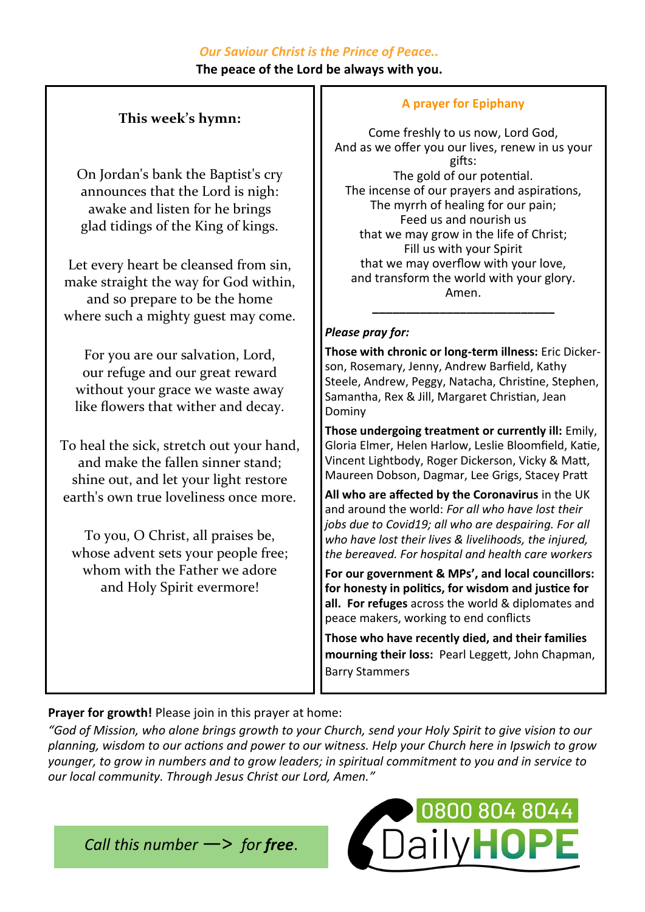# *Our Saviour Christ is the Prince of Peace..*

**The peace of the Lord be always with you.**

# **This week's hymn:**

On Jordan's bank the Baptist's cry announces that the Lord is nigh: awake and listen for he brings glad tidings of the King of kings.

Let every heart be cleansed from sin, make straight the way for God within, and so prepare to be the home where such a mighty guest may come.

For you are our salvation, Lord, our refuge and our great reward without your grace we waste away like flowers that wither and decay.

To heal the sick, stretch out your hand, and make the fallen sinner stand; shine out, and let your light restore earth's own true loveliness once more.

To you, O Christ, all praises be, whose advent sets your people free; whom with the Father we adore and Holy Spirit evermore!

# **A prayer for Epiphany**

Come freshly to us now, Lord God, And as we offer you our lives, renew in us your gifts: The gold of our potential. The incense of our prayers and aspirations, The myrrh of healing for our pain; Feed us and nourish us that we may grow in the life of Christ; Fill us with your Spirit that we may overflow with your love, and transform the world with your glory. Amen. **\_\_\_\_\_\_\_\_\_\_\_\_\_\_\_\_\_\_\_\_\_\_\_\_\_\_\_**

# *Please pray for:*

**Those with chronic or long-term illness:** Eric Dickerson, Rosemary, Jenny, Andrew Barfield, Kathy Steele, Andrew, Peggy, Natacha, Christine, Stephen, Samantha, Rex & Jill, Margaret Christian, Jean Dominy

**Those undergoing treatment or currently ill:** Emily, Gloria Elmer, Helen Harlow, Leslie Bloomfield, Katie, Vincent Lightbody, Roger Dickerson, Vicky & Matt, Maureen Dobson, Dagmar, Lee Grigs, Stacey Pratt

**All who are affected by the Coronavirus** in the UK and around the world: *For all who have lost their jobs due to Covid19; all who are despairing. For all who have lost their lives & livelihoods, the injured, the bereaved. For hospital and health care workers*

**For our government & MPs', and local councillors: for honesty in politics, for wisdom and justice for all. For refuges** across the world & diplomates and peace makers, working to end conflicts

**Those who have recently died, and their families mourning their loss:** Pearl Leggett, John Chapman, Barry Stammers

# **Prayer for growth!** Please join in this prayer at home:

*"God of Mission, who alone brings growth to your Church, send your Holy Spirit to give vision to our planning, wisdom to our actions and power to our witness. Help your Church here in Ipswich to grow younger, to grow in numbers and to grow leaders; in spiritual commitment to you and in service to our local community. Through Jesus Christ our Lord, Amen."*

*Call this number* —> *for free*.